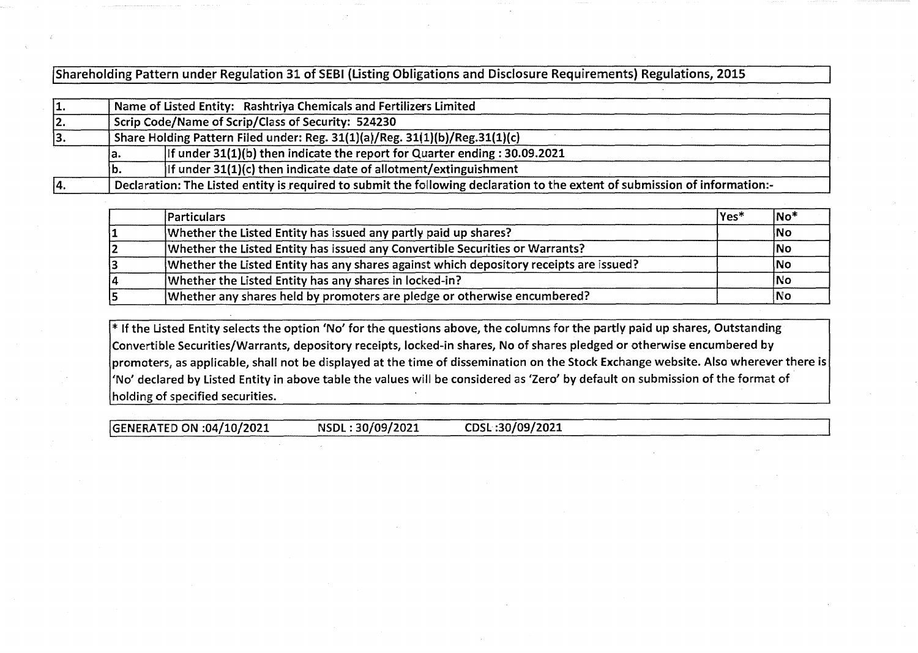[shareholding Pattern under Regulation 31 of SEBI (Listing Obligations and Disclosure Requirements) Regulations, 2015

| 11. | Name of Listed Entity: Rashtriya Chemicals and Fertilizers Limited                                                          |                                                                            |  |  |  |  |  |  |  |  |  |
|-----|-----------------------------------------------------------------------------------------------------------------------------|----------------------------------------------------------------------------|--|--|--|--|--|--|--|--|--|
| 12. | Scrip Code/Name of Scrip/Class of Security: 524230                                                                          |                                                                            |  |  |  |  |  |  |  |  |  |
| 13. | Share Holding Pattern Filed under: Reg. 31(1)(a)/Reg. 31(1)(b)/Reg.31(1)(c)                                                 |                                                                            |  |  |  |  |  |  |  |  |  |
|     | ia.                                                                                                                         | If under 31(1)(b) then indicate the report for Quarter ending : 30.09.2021 |  |  |  |  |  |  |  |  |  |
|     | Ib.                                                                                                                         | If under $31(1)(c)$ then indicate date of allotment/extinguishment         |  |  |  |  |  |  |  |  |  |
| 14. | Declaration: The Listed entity is required to submit the following declaration to the extent of submission of information:- |                                                                            |  |  |  |  |  |  |  |  |  |

| <b>Particulars</b>                                                                     | Yes* | $ No*$ |
|----------------------------------------------------------------------------------------|------|--------|
| Whether the Listed Entity has issued any partly paid up shares?                        |      | No     |
| Whether the Listed Entity has issued any Convertible Securities or Warrants?           |      | No     |
| Whether the Listed Entity has any shares against which depository receipts are issued? |      | No     |
| Whether the Listed Entity has any shares in locked-in?                                 |      | lNo    |
| Whether any shares held by promoters are pledge or otherwise encumbered?               |      | No     |

\* If the Listed Entity selects the option 'No' for the questions above, the columns for the partly paid up shares, Outstanding Convertible Securities/Warrants, depository receipts, locked-in shares, No of shares pledged or otherwise encumbered by  $|$ promoters, as applicable, shall not be displayed at the time of dissemination on the Stock Exchange website. Also wherever there is $|$ 'No' declared by Listed Entity in above table the values will be considered as 'Zero' by default on submission of the format of holding of specified securities.

[GENERATED ON :04/10/2021 NSDL : 30/09/2021 CDSL :30/09/2021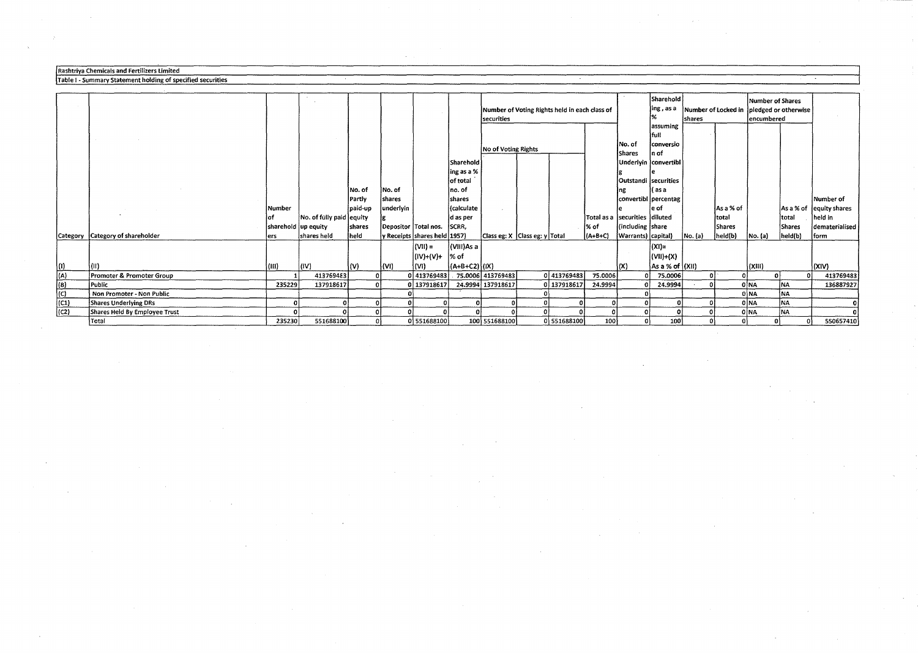## **Rashtriya Chemicals and Fertilizers limited**

Sharehold<br>ling, as a Number of Locked in Inledged or otherwise Number of Voting Rights held in each class of **ing,asa** Number of Locked in pledged or otherwise **i**<br>encumbered **assuming**  full No of Voting Rights No.of **conversio Shares** Sharehold Underiyin convertibl  $\left| \begin{matrix} \text{ing as a }\% \ \text{of total} \end{matrix} \right|$ of total Outstandi **securities**  No.of No.of no.of ng ( as a Partly shares shares **find the shares of the convertibl percentag** the shares of the Number of **Number** paid-up underlyin (calculate e eof Asa%of Asa%of equity shares of No. of fully paid equity g d as per Total as a **securities** diluted total total held in sharehold up equity shares Depositor Total nos. SCRR, share is the share is the dematerialised on the shares dematerialised islam is the share of the shares dematerialised islam islam islam islam islam islam islam islam is Category Category of shareholder ers shares held held y Receipts shares held 1957) Class eg: X Class eg: y Total (A+B+C) Warrants) capital) No.(a) held(b) No.(a) held(b) form  $(VII) =$   $\left| (VII)As a \right|$   $(XI) =$  $\begin{bmatrix} (|V|)+(V)+1 \ 0 & (N+1)(N+1) \end{bmatrix} = \begin{bmatrix} (|V|)+(X) \ (|V|)+(X) \ (N+1)(N+1) & (N+1)(N+1) \end{bmatrix}$ {I) (II) (Ill) (IV) (V) (VI) (VI) (A+B+C2) **{IX) (X) Asa%of (XII) (XIII) (XIV)**  (A) Promoter&PromoterGroup 1 413769483 0 0 413769483 75.0006 413769483 0 413769483 75.0006 0 75.0006 0 0 0 0 0 0 413769483 (B) Promoter & Promoter Group<br>(B) Public 235229 137918617 0 0 137918617 24.9994 137918617 24.9994 137918617 24.9994 0 24.9994 0 24.9994 0 NA<br>(C) Non Promoter - Non Public 235229 137918617 0 0 137918617 24.9994 137918617 24 (C) **Non Promoter - Non Public** 0 0 0 0 NA NA (Cl) Shares Underlying DRs 0 0 0 0 0 0 0 0 0 0 0 0 0 0 NA NA 0 (C2) Shares Held By Employee Trust 0 0 0 0 0 0 0 0 0 0 0 0 0 0 NA NA 0 Total 235230 551688100 0 0 551688100 100 551688100 0 551688100 100 0 100 0 0 0 0 550657410

## Table I - Summary Statement holding of specified securities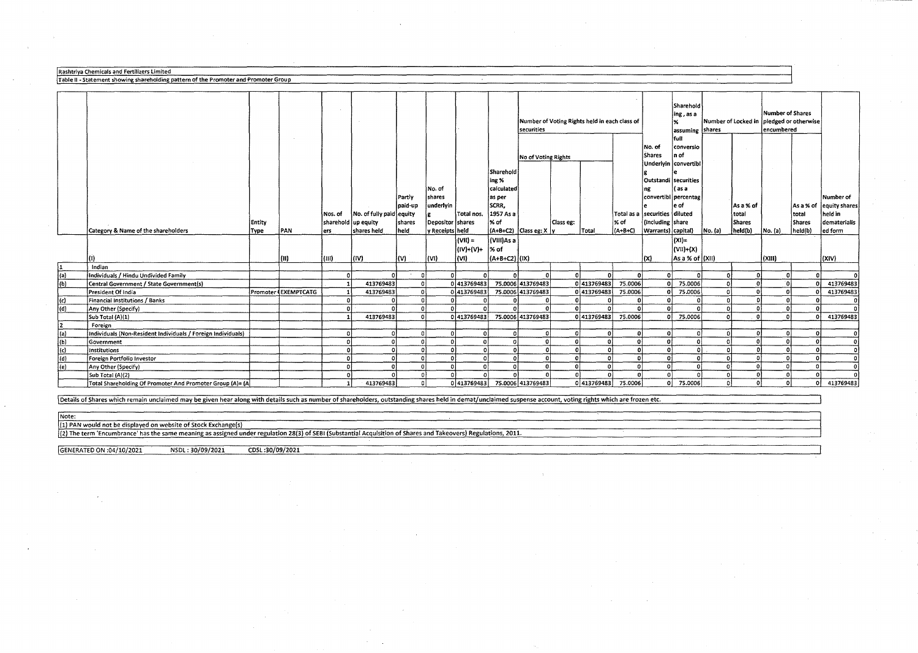Rashtriya Chemicals and Fertilizers Limited<br>Table II - Statement showing shareholding pattern of the Promoter and Promoter Group

|                           |                                                              |               |                      |                     |                          |          |                  |                 |               | Number of Voting Rights held in each class of<br>securities |           |                     | Sharehold<br>ing , as a<br>assuming shares<br>full | Number of Locked in               |                               | Number of Shares<br>pledged or otherwise<br>encumbered |               |         |                  |                          |
|---------------------------|--------------------------------------------------------------|---------------|----------------------|---------------------|--------------------------|----------|------------------|-----------------|---------------|-------------------------------------------------------------|-----------|---------------------|----------------------------------------------------|-----------------------------------|-------------------------------|--------------------------------------------------------|---------------|---------|------------------|--------------------------|
|                           |                                                              |               |                      |                     |                          |          |                  |                 |               |                                                             |           |                     |                                                    | No. of                            | conversio                     |                                                        |               |         |                  |                          |
|                           |                                                              |               |                      |                     |                          |          |                  |                 |               | No of Voting Rights                                         |           |                     |                                                    | Shares                            | ln of<br>Underlyin convertibl |                                                        |               |         |                  |                          |
|                           |                                                              |               |                      |                     |                          |          |                  |                 | Sharehold     |                                                             |           |                     |                                                    |                                   |                               |                                                        |               |         |                  |                          |
|                           |                                                              |               |                      |                     |                          |          |                  |                 | ing %         |                                                             |           |                     |                                                    | Outstandi securities              |                               |                                                        |               |         |                  |                          |
|                           |                                                              |               |                      |                     |                          |          | No. of           |                 | calculated    |                                                             |           |                     |                                                    | ng                                | as a                          |                                                        |               |         |                  |                          |
|                           |                                                              |               |                      |                     |                          | Partly   | shares           |                 | as per        |                                                             |           |                     |                                                    |                                   | convertibl percentag          |                                                        |               |         |                  | Number of                |
|                           |                                                              |               |                      |                     |                          | paid up  | underlyin        |                 | SCRR,         |                                                             |           |                     |                                                    |                                   | e of                          |                                                        | As a % of     |         |                  | As a % of lequity shares |
|                           |                                                              |               |                      | Nos. of             | No. of fully paid equity |          |                  | Total nos.      | 1957 As a     |                                                             |           |                     |                                                    | Total as a   securities   diluted |                               |                                                        | total         |         | total            | held in                  |
|                           |                                                              | <b>Entity</b> |                      | sharehold up equity |                          | shares   | Depositor shares |                 | % of          |                                                             | Class eg: |                     | % of                                               | fincluding Ishare                 |                               |                                                        | <b>Shares</b> |         | <b>Shares</b>    | dematerialis             |
|                           | Category & Name of the shareholders                          | Type          | <b>IPAN</b>          | ers.                | shares held              | held     | y Receipts held  |                 |               | (A+B+C2) Class eg: X  y                                     |           | Total               | $(A+B+C)$                                          | Warrants) capital)                |                               | No. (a)                                                | held(b)       | No. (a) | held(b)          | l ed form                |
|                           |                                                              |               |                      |                     |                          |          |                  | $(VII) =$       | (VIII)As a    |                                                             |           |                     |                                                    |                                   | (x)                           |                                                        |               |         |                  |                          |
|                           |                                                              |               |                      |                     |                          |          |                  | (IV)+(V)+  % of |               |                                                             |           |                     |                                                    |                                   | $ VII +(X)$                   |                                                        |               |         |                  |                          |
|                           |                                                              |               | l (II)               | l (III).            | $ $ (IV)                 | (V)      | l(VI).           | l(VI).          | (A+B+C2) (IX) |                                                             |           |                     |                                                    | l(X)                              | As a % of (XII)               |                                                        |               | (XIII)  |                  | (XIV)                    |
|                           | Indian                                                       |               |                      |                     |                          |          |                  |                 |               |                                                             |           |                     |                                                    |                                   |                               |                                                        |               |         |                  |                          |
| (a)                       | Individuals / Hindu Undivided Family                         |               |                      | -o l                |                          | οl       |                  |                 | n             | $\Omega$                                                    |           | ΩI                  | οl                                                 |                                   |                               |                                                        |               |         |                  |                          |
| (b)                       | Central Government / State Government(s)                     |               |                      |                     | 413769483                | $\circ$  |                  | 0 413769483     |               | 75.0006 413769483                                           |           | 0 413769483         | 75.0006                                            | n١                                | 75.0006                       |                                                        |               |         | n                | 413769483                |
|                           | President Of India                                           |               | Promoter (EXEMPTCATG |                     | 413769483                | οl       |                  | 0 413769483     |               | 75.0006 413769483                                           |           | 0 413769483         | 75.0006                                            | ΩL                                | 75.0006                       |                                                        |               |         |                  | 413769483                |
| (c)                       | Financial Institutions / Banks                               |               |                      | $\Omega$            |                          | οl       |                  |                 |               |                                                             |           |                     | οi                                                 |                                   |                               |                                                        |               |         |                  | f.                       |
| (d)                       | Any Other (Specify)                                          |               |                      | $\Omega$            |                          | οl       | $\Omega$         |                 |               |                                                             |           |                     | ΩI                                                 |                                   | $\Omega$                      |                                                        |               |         | Ωİ<br>n          |                          |
|                           | Sub Total (A)(1)                                             |               |                      |                     | 413769483                | οl       |                  | 0 413769483     |               | 75.0006 413769483                                           |           | 0 413769483         | 75.0006                                            |                                   | 0 75,0006                     |                                                        |               |         | n                | 413769483                |
| 2                         | Foreign                                                      |               |                      |                     |                          |          |                  |                 |               |                                                             |           |                     |                                                    |                                   |                               |                                                        |               |         |                  |                          |
| $\overline{a}$            | Individuals (Non-Resident Individuals / Foreign Individuals) |               |                      | -o l                | $\Omega$                 | 0        | $\Omega$         |                 | οl            | $\Omega$                                                    | $\Omega$  |                     | οl                                                 | O.                                | $\Omega$                      | n                                                      | $\Omega$      |         | n.<br>n          | f.                       |
| $\overline{(\mathbf{b})}$ | Government                                                   |               |                      | $\Omega$            |                          | οl       | $\Omega$         |                 | -o l          | $\Omega$                                                    | οl        |                     | ٥I                                                 | $\Omega$                          | οl                            | $\Omega$                                               |               |         | O                | $\Omega$                 |
| $\overline{c}$            | Institutions                                                 |               |                      | $\Omega$            |                          | οl       | $\Omega$         |                 | ി             | $\Omega$                                                    | $\Omega$  |                     | $\Omega$                                           | n.                                | ΩÌ                            | $\Omega$                                               |               |         | c                | f.                       |
| $\sqrt{d}$                | Foreign Portfolio Investor                                   |               |                      | $\Omega$            |                          | $\Omega$ |                  |                 | $\Omega$      | $\Omega$                                                    | $\Omega$  |                     | ΩI                                                 | n.                                | $\Omega$                      |                                                        |               |         |                  |                          |
| (e)                       | Any Other (Specify)                                          |               |                      | $\Omega$            |                          | $\Omega$ |                  |                 | $\Omega$      |                                                             |           |                     | $\Omega$                                           | $\Omega$                          | $\sqrt{2}$                    | $\Omega$<br>$\sim$                                     |               |         |                  |                          |
|                           | Sub Total (A)(2)                                             |               |                      | $\Omega$<br>-11     |                          | οi<br>οl |                  |                 | $\Omega$      | $\Omega$                                                    |           |                     | $\Omega$                                           | nΙ                                | - 0                           |                                                        | $\Omega$      | n       | o۱<br>$\sqrt{2}$ |                          |
|                           | Total Shareholding Of Promoter And Promoter Group (A)= (A)   |               |                      |                     | 413769483                |          |                  | 0 413769483     |               | 75.0006 413769483                                           |           | 0 413769483 75.0006 |                                                    |                                   | 75.0006                       |                                                        |               |         |                  | 413769483                |

Details of Shares which remain unclaimed may be given hear along with details such as number of shareholders, outstanding shares held in demat/unclaimed suspense account, voting rights which are frozen etc.

**Note:** 

(1) PAN would not be displayed on website of Stock Exchange(s)

(2) The term 'Encumbrance' has the same meaning as assigned under regulation 28(3) of SEBI (Substantial Acquisition of Shares and Takeovers) Regulations, 2011.

[GENERATED ON:04/10/2021 NSDL: 30/09/2021 CDSL:30/09/2021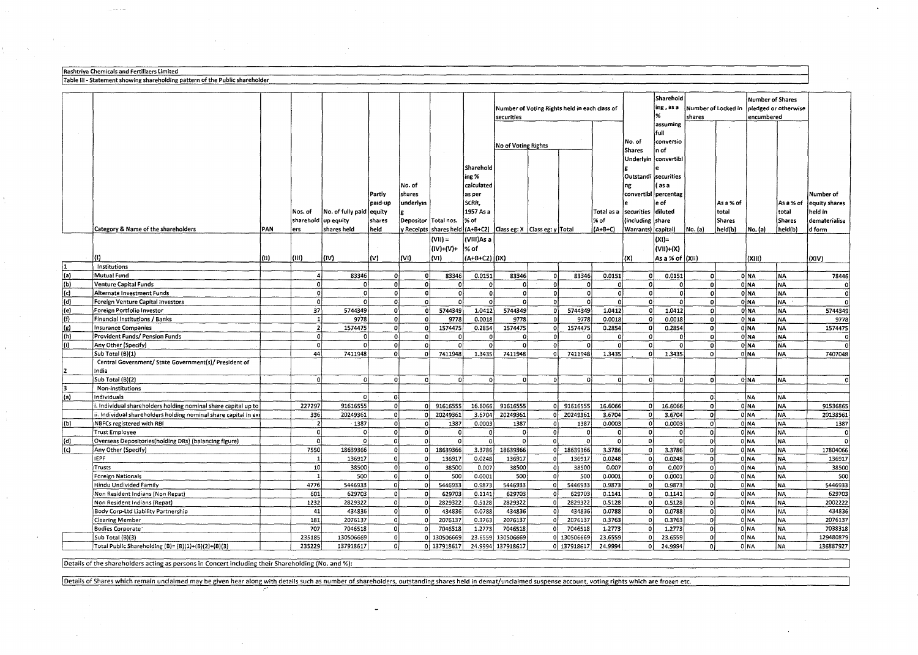| Rashtriva Chemicals and Fertilizers Limited                                  |
|------------------------------------------------------------------------------|
| Table III - Statement showing shareholding pattern of the Public shareholder |

|              |                                                                 |      |                      |                          |              |                      |                |               |                                                                       |                         |             |                     |                    | Sharehold            |                      |           | Number of Shares |                |               |
|--------------|-----------------------------------------------------------------|------|----------------------|--------------------------|--------------|----------------------|----------------|---------------|-----------------------------------------------------------------------|-------------------------|-------------|---------------------|--------------------|----------------------|----------------------|-----------|------------------|----------------|---------------|
|              |                                                                 |      |                      |                          |              |                      |                |               | Number of Voting Rights held in each class of                         |                         | ing, as a   | Number of Locked in |                    |                      | pledged or otherwise |           |                  |                |               |
|              |                                                                 |      |                      |                          |              |                      |                |               | securities                                                            |                         |             |                     |                    |                      | shares               |           | encumbered       |                |               |
|              |                                                                 |      |                      |                          |              |                      |                |               |                                                                       |                         |             |                     |                    | assuming             |                      |           |                  |                |               |
|              |                                                                 |      |                      |                          |              |                      |                |               |                                                                       |                         |             |                     |                    | full                 |                      |           |                  |                |               |
|              |                                                                 |      |                      |                          |              |                      |                |               | No of Voting Rights                                                   |                         |             |                     | No. of             | conversio            |                      |           |                  |                |               |
|              |                                                                 |      |                      |                          |              |                      | $\sim 10^{-1}$ |               |                                                                       |                         |             |                     | <b>Shares</b>      | n of                 |                      |           |                  |                |               |
|              |                                                                 |      |                      |                          |              |                      |                |               |                                                                       |                         |             |                     | Underlyin          | convertibl           |                      |           |                  |                |               |
|              |                                                                 |      |                      |                          |              |                      |                | Sharehold     |                                                                       |                         |             |                     |                    |                      |                      |           |                  |                |               |
|              |                                                                 |      |                      |                          |              |                      |                | ing %         |                                                                       |                         |             |                     | Outstandi          | securities           |                      |           |                  |                |               |
|              |                                                                 |      |                      |                          |              | No. of               |                | calculated    |                                                                       |                         |             |                     | ng                 | (as a                |                      |           |                  |                |               |
|              |                                                                 |      |                      |                          | Partly       | shares               |                | as per        |                                                                       |                         |             |                     |                    | convertibl percentag |                      |           |                  |                | Number of     |
|              |                                                                 |      |                      |                          | paid-up      | underlyin            |                | SCRR.         |                                                                       |                         |             |                     |                    | e of                 |                      | As a % of |                  | As a % of      | equity shares |
|              |                                                                 |      | Nos. of              | No. of fully paid equity |              |                      |                | 1957 As a     |                                                                       |                         |             | Total as a          | securities         | diluted              |                      | total     |                  | total          | held in       |
|              |                                                                 |      | sharehold (up equity |                          | shares       | Depositor Total nos. |                | % of          |                                                                       |                         |             | % of                | (including)        | lshare               |                      | Shares    |                  | <b>İShares</b> | dematerialise |
|              | Category & Name of the shareholders                             | PAN  | ers                  | shares held              | held         |                      |                |               | y Receipts   shares held (A+B+C2)   Class eg: X   Class eg: y   Total |                         |             | (A+B+C)             | Warrants) capital) |                      | No. (a)              | held(b)   | No. (a)          | held(b)        | d form        |
|              |                                                                 |      |                      |                          |              |                      | $ (VII)  =$    | (VIII)As a    |                                                                       |                         |             |                     |                    | (XI)=                |                      |           |                  |                |               |
|              |                                                                 |      |                      |                          |              |                      | (IV)+(V)+      | ∣% of         |                                                                       |                         |             |                     |                    | (VII)+(X)            |                      |           |                  |                |               |
|              | m                                                               | (II) | (III)                | (IV)                     | (V)          | (VI)                 | l (VI)         | (A+B+C2) (IX) |                                                                       |                         |             |                     | (X)                | As a $%$ of $ (X  )$ |                      |           | (XIII)           |                | (XIV)         |
|              | Institutions                                                    |      |                      |                          |              |                      |                |               |                                                                       |                         |             |                     |                    |                      |                      |           |                  |                |               |
| (a)          | Mutual Fund                                                     |      | 4                    | 83346                    | 0            | οl                   | 83346          | 0.0151        | 83346                                                                 | $\Omega$                | 83346       | 0.0151              | $\Omega$           | 0.0151               | 0                    |           | 0 NA             | <b>NA</b>      | 78446         |
| (b)          | Venture Capital Funds                                           |      | $\circ$              | $\mathbf 0$              | o            | 0                    | $\Omega$       | $\Omega$      |                                                                       | $\mathbf 0$             |             |                     | $\Omega$           | $\Omega$             | oi                   |           | 0 NA             | NA             | $\Omega$      |
| (c)          | Alternate Investment Funds                                      |      | -ol                  | 0                        | οl           | ol                   | 0l             | οl            | $\Omega$                                                              | $\circ$                 | $\Omega$    | $\ddot{\mathbf{0}}$ | $\Omega$           | $\mathbf{0}$         | -ol                  |           | 0 NA             | <b>NA</b>      | ol            |
| (d)          | Foreign Venture Capital Investors                               |      | $\circ$              | -ol                      | ٥I           | 0                    | $\Omega$       | οl            | 0                                                                     | $\overline{0}$          | -o i        | $\Omega$            | $\circ$            | $\mathbf{0}$         | o                    |           | ONA              | NA             |               |
| (e)          | Foreign Portfolio Investor                                      |      | 37                   | 5744349                  | $\Omega$     | οl                   | 5744349        | 1.0412        | 5744349                                                               | $\circ$                 | 5744349     | 1.0412              | $\Omega$           | 1.0412               | $\mathbf{o}$         |           | 0 NA             | NA             | 5744349       |
| (f)          | Financial Institutions / Banks                                  |      | $\mathbf{1}$         | 9778                     | $\mathbf{0}$ | 0İ                   | 9778           | 0.0018        | 9778                                                                  | $\mathbf 0$             | 9778        | 0.0018              | $\Omega$           | 0.0018               | $\mathbf{0}$         |           | ONA              | NA.            | 9778          |
| (g)          | <b>Insurance Companies</b>                                      |      | $\mathbf{z}$         | 1574475                  | ٥l           | οl                   | 1574475        | 0.2854        | 1574475                                                               | $\circ$                 | 1574475     | 0.2854              | $\Omega$           | 0.2854               | 0                    |           | 0 NA             | <b>NA</b>      | 1574475       |
| (h)          | Provident Funds/ Pension Funds                                  |      | 0                    | 0                        | οl           | οl                   | 0              | οl            | $\Omega$                                                              | -O                      | $\Omega$    | $\Omega$            | $\Omega$           | $\Omega$             | $\Omega$             |           | OINA             | <b>NA</b>      |               |
| (i)          | Any Other (Specify)                                             |      | ັດ                   | $\mathbf 0$              | $\Omega$     | οl                   | $\Omega$       | $\Omega$      | n                                                                     | 0                       |             | n                   | $\Omega$           | $\Omega$             | ol                   |           | 0 NA             | NA             |               |
|              | Sub Total (B)(1)                                                |      | 44                   | 7411948                  | o.           | οl                   | 7411948        | 1.3435        | 7411948                                                               | $\Omega$                | 7411948     | 1.3435              | $\Omega$           | 1.3435               | $\Omega$             |           | olna             | <b>NA</b>      | 7407048       |
|              | Central Government/ State Government(s)/ President of           |      |                      |                          |              |                      |                |               |                                                                       |                         |             |                     |                    |                      |                      |           |                  |                |               |
| $\mathbf{z}$ | India                                                           |      |                      |                          | $\Omega$     |                      |                |               |                                                                       |                         |             |                     |                    |                      |                      |           |                  |                |               |
| 3            | Sub Total (B)(2)<br>Non-Institutions                            |      | -0                   | 0                        |              | o١                   | $\Omega$       | $\Omega$      | $\Omega$                                                              | 0                       | $\Omega$    | Ω                   | $\mathbf 0$        | $\Omega$             | o                    |           | OMA              | NA             | $\Omega$      |
| (a)          | Individuals                                                     |      |                      | $\Omega$                 | οl           |                      |                |               |                                                                       |                         |             |                     |                    |                      | 0                    |           | INA.             | NA.            |               |
|              | I. Individual shareholders holding nominal share capital up to  |      | 227297               | 91616555                 | ٥l           | οl                   | 91616555       | 16.6066       | 91616555                                                              | 0                       | 91616555    | 16.6066             | $\Omega$           | 16.6066              | $\Omega$             |           | 0 NA             | <b>NA</b>      | 91536865      |
|              | I. Individual shareholders holding nominal share capital in ex- |      | 336                  | 20249361                 | $\Omega$     | $\Omega$             | 20249361       | 3.6704        | 20249361                                                              | ol                      | 20249361    | 3.6704              | $\mathbf 0$        | 3.6704               | ol                   |           | ONA              | NA             | 20138561      |
| (b)          | NBFCs registered with RBI                                       |      | $\overline{z}$       | 1387                     | ٥l           | $\mathbf{0}$         | 1387           | 0.0003        | 1387                                                                  | 0                       | 1387        | 0.0003              | $\mathbf{o}$       | 0.0003               | $\mathbf{o}$         |           | ONA              | NA             | 1387          |
|              | <b>Trust Employee</b>                                           |      | $\Omega$             | 0                        | ٥l           | οl                   | 0              | $\Omega$      | - 0                                                                   | 0                       | $\Omega$    | $\Omega$            | $\mathbf 0$        | $\circ$              | οl                   |           | 0 NA             | NA             | $\Omega$      |
| (d)          | Overseas Depositories(holding DRs) (balancing figure)           |      | $\Omega$             | $\Omega$                 | 0l           | οl                   | $\Omega$       | οl            | - 0                                                                   | ol                      | $\Omega$    | $\Omega$            | $\mathbf{0}$       | οl                   | οl                   |           | OINA             | NA             | $\Omega$      |
| (c)          | Any Other (Specify)                                             |      | 7550                 | 18639366                 | ٥I           | οl                   | 18639366       | 3.3786        | 18639366                                                              | ol                      | 18639366    | 3.3786              | $\mathbf 0$        | 3.3786               | ol                   |           | 0 NA             | NA             | 17804066      |
|              | <b>IEPF</b>                                                     |      |                      | 136917                   | $\Omega$     | $\mathbf{0}$         | 136917         | 0.0248        | 136917                                                                | $\mathbf 0$             | 136917      | 0.0248              | $\mathbf{0}$       | 0.0248               | ol                   |           | ONA              | NA             | 136917        |
|              | Trusts                                                          |      | 10                   | 38500                    | οl           | οl                   | 38500          | 0.007         | 38500                                                                 | 0                       | 38500       | 0.007               | $\mathbf 0$        | 0.007                | 0                    |           | 0 NA             | NA             | 38500         |
|              | <b>Foreign Nationals</b>                                        |      | $\mathbf{1}$         | 500                      | οl           | ി                    | 500            | 0.0001        | 500                                                                   | $\overline{\mathbf{0}}$ | 500         | 0.0001              | $\mathbf 0$        | 0.0001               | ol                   |           | ONA              | <b>NA</b>      | 500           |
|              | Hindu Undivided Family                                          |      | 4776                 | 5446933                  | οi           | οl                   | 5446933        | 0.9873        | 5446933                                                               | 0                       | 5446933     | 0.9873              | $\mathbf{0}$       | 0.9873               | οl                   |           | OÌNA             | <b>NA</b>      | 5446933       |
|              | Non Resident Indians (Non Repat)                                |      | 601                  | 629703                   | ٥I           | $\mathbf{0}$         | 629703         | 0.1141        | 629703                                                                | 0                       | 629703      | 0.1141              | $\Omega$           | 0.1141               | οl                   |           | 0 NA             | NA             | 629703        |
|              | Non Resident Indians (Repat)                                    |      | 1232                 | 2829322                  | οI           | $\mathbf{0}$         | 2829322        | 0.5128        | 2829322                                                               | 0                       | 2829322     | 0.5128              | $\Omega$           | 0.5128               | $\Omega$             |           | OINA             | <b>NA</b>      | 2002222       |
|              | Body Corp-Ltd Liability Partnership                             |      | 41                   | 434836                   | ٥١           | -o)                  | 434836         | 0.0788        | 434836                                                                | 0                       | 434836      | 0.0788              | $\mathbf 0$        | 0.0788               | οl                   |           | 0 NA             | ΝA             | 434836        |
|              | <b>Clearing Member</b>                                          |      | 181                  | 2076137                  | 0            | οl                   | 2076137        | 0.3763        | 2076137                                                               | οl                      | 2076137     | 0.3763              | $\Omega$           | 0.3763               | οl                   |           | ONA              | <b>NA</b>      | 2076137       |
|              | Bodies Corporate                                                |      | 707                  | 7046518                  | 0Ì           | -o l                 | 7046518        | 1.2773        | 7046518                                                               | 0l                      | 7046518     | 1.2773              | $\Omega$           | 1.2773               | $\mathbf{0}$         |           | OİNA             | NA             | 7038318       |
|              | Sub Total (B)(3)                                                |      | 235185               | 130506669                | οl           |                      | 0 130506669    | 23.6559       | 130506669                                                             |                         | 0 130506669 | 23.6559             | $\Omega$           | 23.6559              | $\mathbf{0}$         |           | ONA              | NΑ             | 129480879     |
|              | Total Public Shareholding (B)= (B)(1)+(B)(2)+(B)(3)             |      | 235229               | 137918617                | οł           |                      | 0 137918617    |               | 24.9994 137918617                                                     |                         | 0 137918617 | 24.9994             | οl                 | 24.9994              | οl                   |           | OINA             | <b>NA</b>      | 136887927     |
|              |                                                                 |      |                      |                          |              |                      |                |               |                                                                       |                         |             |                     |                    |                      |                      |           |                  |                |               |

Details of the shareholders acting as persons in Concert including their Shareholding (No. and %):

 $\sim$ 

! **Details of Shares which remain unclaimed may be given hear along with details such as number of shareholders, outstanding shares held in demat/unclaimed suspense account, voting rights which are frozen etc.**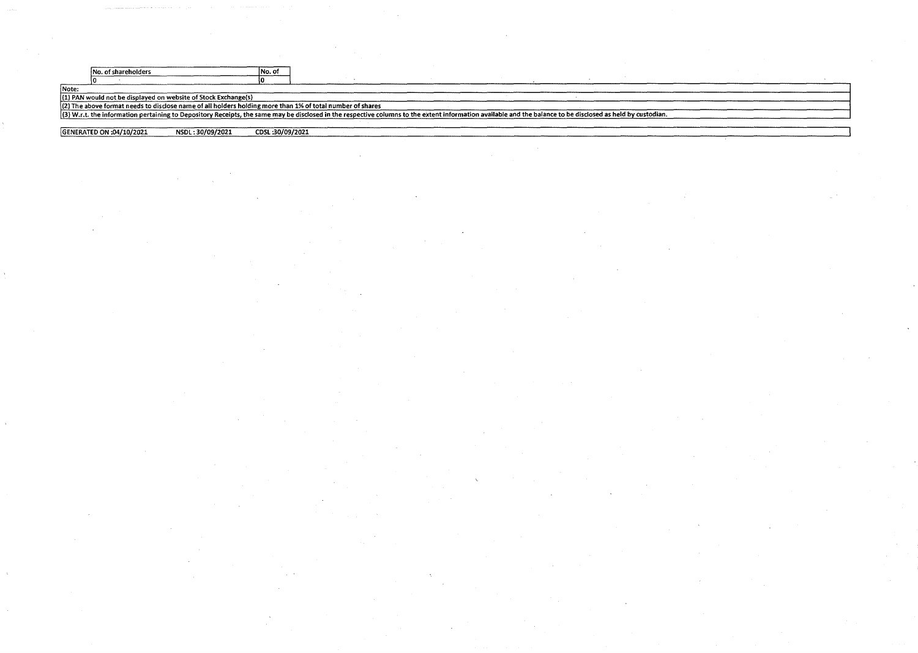|       | No. of shareholders                                                                                                                                                                                         | No. of          |  |  |  |  |
|-------|-------------------------------------------------------------------------------------------------------------------------------------------------------------------------------------------------------------|-----------------|--|--|--|--|
|       |                                                                                                                                                                                                             |                 |  |  |  |  |
| Note: |                                                                                                                                                                                                             |                 |  |  |  |  |
|       | (1) PAN would not be displayed on website of Stock Exchange(s)                                                                                                                                              |                 |  |  |  |  |
|       | (2) The above format needs to disclose name of all holders holding more than 1% of total number of shares                                                                                                   |                 |  |  |  |  |
|       | (3) W.r.t. the information pertaining to Depository Receipts, the same may be disclosed in the respective columns to the extent information available and the balance to be disclosed as held by custodian. |                 |  |  |  |  |
|       |                                                                                                                                                                                                             |                 |  |  |  |  |
|       | NSDL:30/09/2021<br>CENERATED ON :04/10/2021                                                                                                                                                                 | CDSL:30/09/2021 |  |  |  |  |